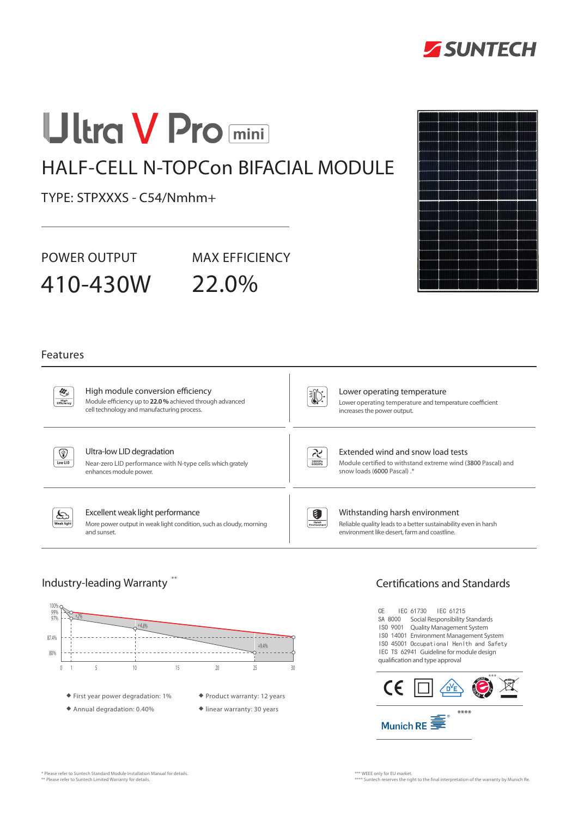

# **Ultra V Pro mini**

# HALF-CELL N-TOPCon BIFACIAL MODULE

TYPE: STPXXXS - C54/Nmhm+

POWER OUTPUT MAX EFFICIENCY

410-430W 22.0%

## Features

 $\partial \mathcal{E}_i$  $Figh$ 

#### High module conversion efficiency Module efficiency up to **22.0 %** achieved through advanced cell technology and manufacturing process.

U):

#### Lower operating temperature Lower operating temperature and temperature coefficient increases the power output.



### Ultra-low LID degradation

Near-zero LID performance with N-type cells which grately enhances module power.



# Extended wind and snow load tests

Module certified to withstand extreme wind (3800 Pascal) and snow loads (6000 Pascal) .\*



## Excellent weak light performance

More power output in weak light condition, such as cloudy, morning and sunset.



#### Withstanding harsh environment Reliable quality leads to a better sustainability even in harsh environment like desert, farm and coastline.



# Industry-leading Warranty  $^{**}$   $\hphantom{...}$   $\hphantom{...}$   $\hphantom{...}$   $\hphantom{...}$   $\hphantom{...}$   $\hphantom{...}$   $\hphantom{...}$   $\hphantom{...}$   $\hphantom{...}$   $\hphantom{...}$   $\hphantom{...}$   $\hphantom{...}$   $\hphantom{...}$   $\hphantom{...}$   $\hphantom{...}$   $\hphantom{...}$   $\hphantom{...}$   $\hphantom{...}$   $\hphantom{...}$

CE IEC 61730 IEC 61215 SA 8000 Social Responsibility Standards ISO 9001 Quality Management System ISO 14001 Environment Management System ISO 45001 Occupational Henlth and Safety IEC TS 62941 Guideline for module design qualification and type approval